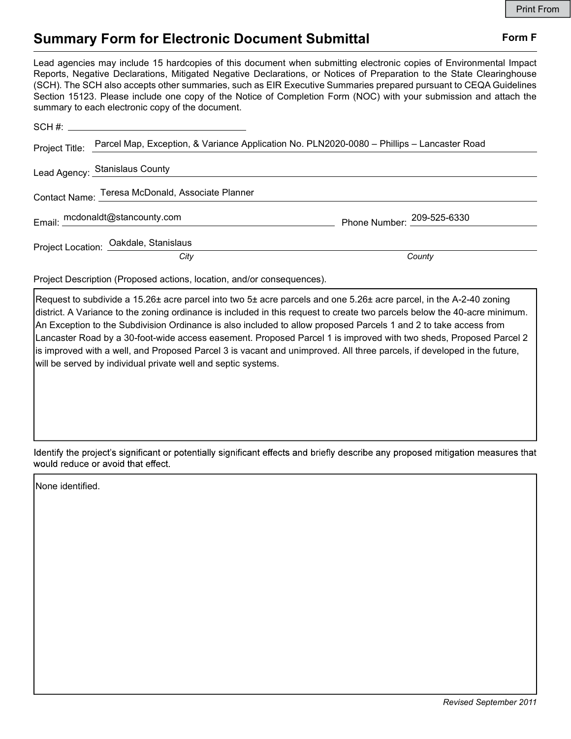## Summary Form for Electronic Document Submittal Form F

Lead agencies may include 15 hardcopies of this document when submitting electronic copies of Environmental Impact Reports, Negative Declarations, Mitigated Negative Declarations, or Notices of Preparation to the State Clearinghouse (SCH). The SCH also accepts other summaries, such as EIR Executive Summaries prepared pursuant to CEQA Guidelines Section 15123. Please include one copy of the Notice of Completion Form (NOC) with your submission and attach the summary to each electronic copy of the document.

|  | Project Title: Parcel Map, Exception, & Variance Application No. PLN2020-0080 - Phillips - Lancaster Road |                            |
|--|-----------------------------------------------------------------------------------------------------------|----------------------------|
|  | Lead Agency: Stanislaus County                                                                            |                            |
|  | Contact Name: Teresa McDonald, Associate Planner                                                          |                            |
|  | Email: mcdonaldt@stancounty.com                                                                           | Phone Number: 209-525-6330 |
|  | Project Location: Oakdale, Stanislaus                                                                     |                            |
|  | City                                                                                                      | County                     |

Project Description (Proposed actions, location, and/or consequences).

Request to subdivide a 15.26± acre parcel into two 5± acre parcels and one 5.26± acre parcel, in the A-2-40 zoning district. A Variance to the zoning ordinance is included in this request to create two parcels below the 40-acre minimum. An Exception to the Subdivision Ordinance is also included to allow proposed Parcels 1 and 2 to take access from Lancaster Road by a 30-foot-wide access easement. Proposed Parcel 1 is improved with two sheds, Proposed Parcel 2 is improved with a well, and Proposed Parcel 3 is vacant and unimproved. All three parcels, if developed in the future, will be served by individual private well and septic systems.

Identify the project's significant or potentially significant effects and briefly describe any proposed mitigation measures that would reduce or avoid that effect.

None identified.